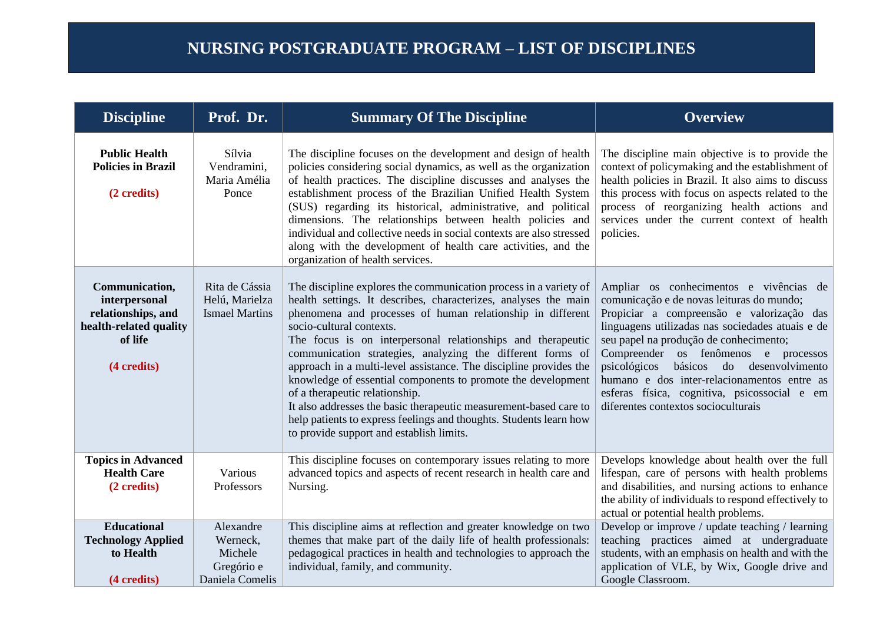| <b>Discipline</b>                                                                                         | Prof. Dr.                                                         | <b>Summary Of The Discipline</b>                                                                                                                                                                                                                                                                                                                                                                                                                                                                                                                                                                                                                                                                                          | <b>Overview</b>                                                                                                                                                                                                                                                                                                                                                                                                                                                |
|-----------------------------------------------------------------------------------------------------------|-------------------------------------------------------------------|---------------------------------------------------------------------------------------------------------------------------------------------------------------------------------------------------------------------------------------------------------------------------------------------------------------------------------------------------------------------------------------------------------------------------------------------------------------------------------------------------------------------------------------------------------------------------------------------------------------------------------------------------------------------------------------------------------------------------|----------------------------------------------------------------------------------------------------------------------------------------------------------------------------------------------------------------------------------------------------------------------------------------------------------------------------------------------------------------------------------------------------------------------------------------------------------------|
| <b>Public Health</b><br><b>Policies in Brazil</b><br>(2 credits)                                          | Sílvia<br>Vendramini,<br>Maria Amélia<br>Ponce                    | The discipline focuses on the development and design of health<br>policies considering social dynamics, as well as the organization<br>of health practices. The discipline discusses and analyses the<br>establishment process of the Brazilian Unified Health System<br>(SUS) regarding its historical, administrative, and political<br>dimensions. The relationships between health policies and<br>individual and collective needs in social contexts are also stressed<br>along with the development of health care activities, and the<br>organization of health services.                                                                                                                                          | The discipline main objective is to provide the<br>context of policymaking and the establishment of<br>health policies in Brazil. It also aims to discuss<br>this process with focus on aspects related to the<br>process of reorganizing health actions and<br>services under the current context of health<br>policies.                                                                                                                                      |
| Communication,<br>interpersonal<br>relationships, and<br>health-related quality<br>of life<br>(4 credits) | Rita de Cássia<br>Helú, Marielza<br><b>Ismael Martins</b>         | The discipline explores the communication process in a variety of<br>health settings. It describes, characterizes, analyses the main<br>phenomena and processes of human relationship in different<br>socio-cultural contexts.<br>The focus is on interpersonal relationships and therapeutic<br>communication strategies, analyzing the different forms of<br>approach in a multi-level assistance. The discipline provides the<br>knowledge of essential components to promote the development<br>of a therapeutic relationship.<br>It also addresses the basic therapeutic measurement-based care to<br>help patients to express feelings and thoughts. Students learn how<br>to provide support and establish limits. | Ampliar os conhecimentos e vivências de<br>comunicação e de novas leituras do mundo;<br>Propiciar a compreensão e valorização das<br>linguagens utilizadas nas sociedades atuais e de<br>seu papel na produção de conhecimento;<br>Compreender os fenômenos e<br>processos<br>básicos do desenvolvimento<br>psicológicos<br>humano e dos inter-relacionamentos entre as<br>esferas física, cognitiva, psicossocial e em<br>diferentes contextos socioculturais |
| <b>Topics in Advanced</b><br><b>Health Care</b><br>(2 credits)                                            | Various<br>Professors                                             | This discipline focuses on contemporary issues relating to more<br>advanced topics and aspects of recent research in health care and<br>Nursing.                                                                                                                                                                                                                                                                                                                                                                                                                                                                                                                                                                          | Develops knowledge about health over the full<br>lifespan, care of persons with health problems<br>and disabilities, and nursing actions to enhance<br>the ability of individuals to respond effectively to<br>actual or potential health problems.                                                                                                                                                                                                            |
| <b>Educational</b><br><b>Technology Applied</b><br>to Health<br>(4 credits)                               | Alexandre<br>Werneck,<br>Michele<br>Gregório e<br>Daniela Comelis | This discipline aims at reflection and greater knowledge on two<br>themes that make part of the daily life of health professionals:<br>pedagogical practices in health and technologies to approach the<br>individual, family, and community.                                                                                                                                                                                                                                                                                                                                                                                                                                                                             | Develop or improve / update teaching / learning<br>teaching practices aimed at undergraduate<br>students, with an emphasis on health and with the<br>application of VLE, by Wix, Google drive and<br>Google Classroom.                                                                                                                                                                                                                                         |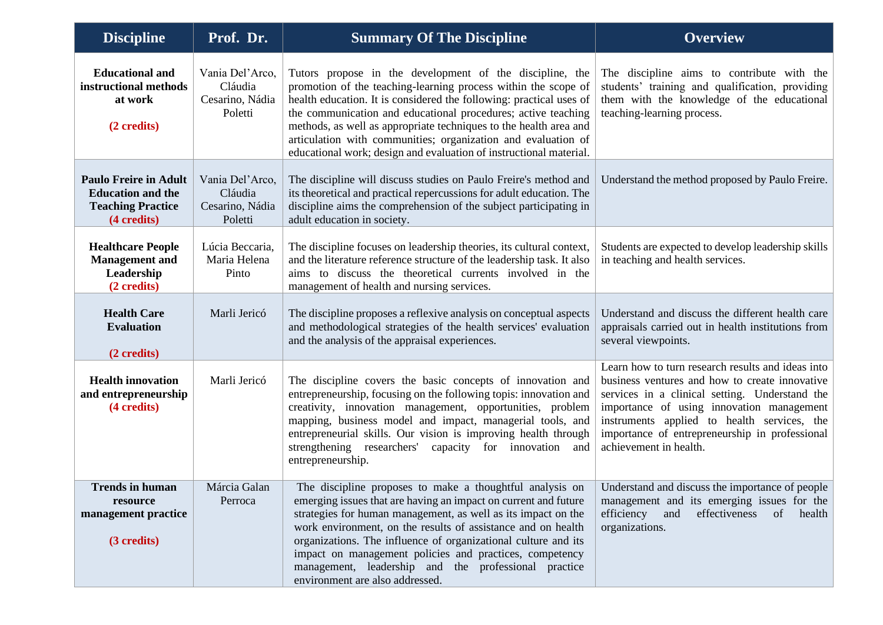| <b>Discipline</b>                                                                                   | Prof. Dr.                                                | <b>Summary Of The Discipline</b>                                                                                                                                                                                                                                                                                                                                                                                                                                                     | <b>Overview</b>                                                                                                                                                                                                                                                                                                               |
|-----------------------------------------------------------------------------------------------------|----------------------------------------------------------|--------------------------------------------------------------------------------------------------------------------------------------------------------------------------------------------------------------------------------------------------------------------------------------------------------------------------------------------------------------------------------------------------------------------------------------------------------------------------------------|-------------------------------------------------------------------------------------------------------------------------------------------------------------------------------------------------------------------------------------------------------------------------------------------------------------------------------|
| <b>Educational and</b><br>instructional methods<br>at work<br>(2 credits)                           | Vania Del'Arco,<br>Cláudia<br>Cesarino, Nádia<br>Poletti | Tutors propose in the development of the discipline, the<br>promotion of the teaching-learning process within the scope of<br>health education. It is considered the following: practical uses of<br>the communication and educational procedures; active teaching<br>methods, as well as appropriate techniques to the health area and<br>articulation with communities; organization and evaluation of<br>educational work; design and evaluation of instructional material.       | The discipline aims to contribute with the<br>students' training and qualification, providing<br>them with the knowledge of the educational<br>teaching-learning process.                                                                                                                                                     |
| <b>Paulo Freire in Adult</b><br><b>Education and the</b><br><b>Teaching Practice</b><br>(4 credits) | Vania Del'Arco,<br>Cláudia<br>Cesarino, Nádia<br>Poletti | The discipline will discuss studies on Paulo Freire's method and<br>its theoretical and practical repercussions for adult education. The<br>discipline aims the comprehension of the subject participating in<br>adult education in society.                                                                                                                                                                                                                                         | Understand the method proposed by Paulo Freire.                                                                                                                                                                                                                                                                               |
| <b>Healthcare People</b><br><b>Management</b> and<br>Leadership<br>(2 credits)                      | Lúcia Beccaria,<br>Maria Helena<br>Pinto                 | The discipline focuses on leadership theories, its cultural context,<br>and the literature reference structure of the leadership task. It also<br>aims to discuss the theoretical currents involved in the<br>management of health and nursing services.                                                                                                                                                                                                                             | Students are expected to develop leadership skills<br>in teaching and health services.                                                                                                                                                                                                                                        |
| <b>Health Care</b><br><b>Evaluation</b><br>(2 credits)                                              | Marli Jericó                                             | The discipline proposes a reflexive analysis on conceptual aspects<br>and methodological strategies of the health services' evaluation<br>and the analysis of the appraisal experiences.                                                                                                                                                                                                                                                                                             | Understand and discuss the different health care<br>appraisals carried out in health institutions from<br>several viewpoints.                                                                                                                                                                                                 |
| <b>Health innovation</b><br>and entrepreneurship<br>(4 credits)                                     | Marli Jericó                                             | The discipline covers the basic concepts of innovation and<br>entrepreneurship, focusing on the following topis: innovation and<br>creativity, innovation management, opportunities, problem<br>mapping, business model and impact, managerial tools, and<br>entrepreneurial skills. Our vision is improving health through<br>strengthening researchers'<br>capacity for innovation<br>and<br>entrepreneurship.                                                                     | Learn how to turn research results and ideas into<br>business ventures and how to create innovative<br>services in a clinical setting. Understand the<br>importance of using innovation management<br>instruments applied to health services, the<br>importance of entrepreneurship in professional<br>achievement in health. |
| <b>Trends in human</b><br>resource<br>management practice<br>(3 credits)                            | Márcia Galan<br>Perroca                                  | The discipline proposes to make a thoughtful analysis on<br>emerging issues that are having an impact on current and future<br>strategies for human management, as well as its impact on the<br>work environment, on the results of assistance and on health<br>organizations. The influence of organizational culture and its<br>impact on management policies and practices, competency<br>management, leadership and the professional practice<br>environment are also addressed. | Understand and discuss the importance of people<br>management and its emerging issues for the<br>efficiency<br>and<br>effectiveness<br>of<br>health<br>organizations.                                                                                                                                                         |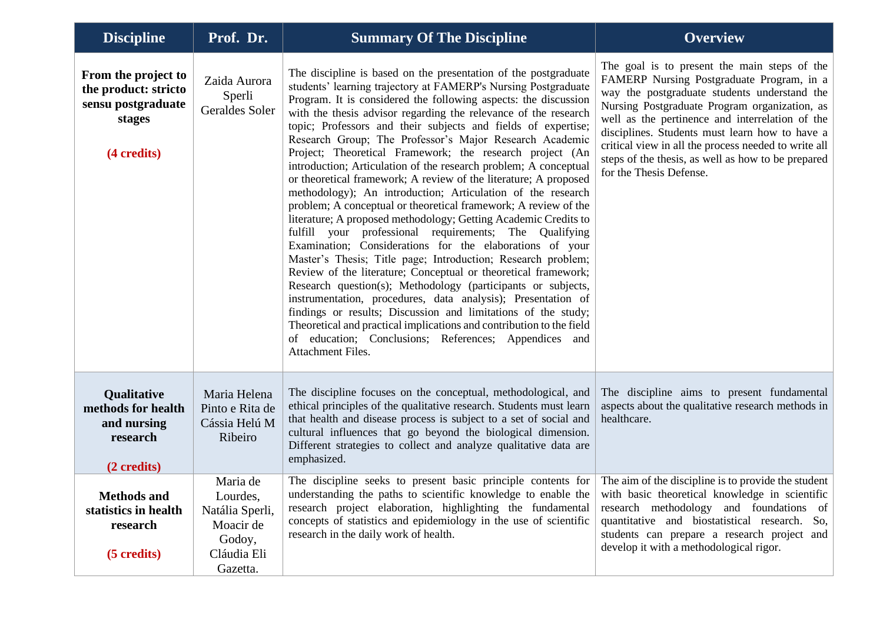| <b>Discipline</b>                                                                          | Prof. Dr.                                                                                 | <b>Summary Of The Discipline</b>                                                                                                                                                                                                                                                                                                                                                                                                                                                                                                                                                                                                                                                                                                                                                                                                                                                                                                                                                                                                                                                                                                                                                                                                                                                                                                                                                                                               | <b>Overview</b>                                                                                                                                                                                                                                                                                                                                                                                                                          |
|--------------------------------------------------------------------------------------------|-------------------------------------------------------------------------------------------|--------------------------------------------------------------------------------------------------------------------------------------------------------------------------------------------------------------------------------------------------------------------------------------------------------------------------------------------------------------------------------------------------------------------------------------------------------------------------------------------------------------------------------------------------------------------------------------------------------------------------------------------------------------------------------------------------------------------------------------------------------------------------------------------------------------------------------------------------------------------------------------------------------------------------------------------------------------------------------------------------------------------------------------------------------------------------------------------------------------------------------------------------------------------------------------------------------------------------------------------------------------------------------------------------------------------------------------------------------------------------------------------------------------------------------|------------------------------------------------------------------------------------------------------------------------------------------------------------------------------------------------------------------------------------------------------------------------------------------------------------------------------------------------------------------------------------------------------------------------------------------|
| From the project to<br>the product: stricto<br>sensu postgraduate<br>stages<br>(4 credits) | Zaida Aurora<br>Sperli<br>Geraldes Soler                                                  | The discipline is based on the presentation of the postgraduate<br>students' learning trajectory at FAMERP's Nursing Postgraduate<br>Program. It is considered the following aspects: the discussion<br>with the thesis advisor regarding the relevance of the research<br>topic; Professors and their subjects and fields of expertise;<br>Research Group; The Professor's Major Research Academic<br>Project; Theoretical Framework; the research project (An<br>introduction; Articulation of the research problem; A conceptual<br>or theoretical framework; A review of the literature; A proposed<br>methodology); An introduction; Articulation of the research<br>problem; A conceptual or theoretical framework; A review of the<br>literature; A proposed methodology; Getting Academic Credits to<br>fulfill your professional requirements; The Qualifying<br>Examination; Considerations for the elaborations of your<br>Master's Thesis; Title page; Introduction; Research problem;<br>Review of the literature; Conceptual or theoretical framework;<br>Research question(s); Methodology (participants or subjects,<br>instrumentation, procedures, data analysis); Presentation of<br>findings or results; Discussion and limitations of the study;<br>Theoretical and practical implications and contribution to the field<br>education; Conclusions; References; Appendices and<br>of<br>Attachment Files. | The goal is to present the main steps of the<br>FAMERP Nursing Postgraduate Program, in a<br>way the postgraduate students understand the<br>Nursing Postgraduate Program organization, as<br>well as the pertinence and interrelation of the<br>disciplines. Students must learn how to have a<br>critical view in all the process needed to write all<br>steps of the thesis, as well as how to be prepared<br>for the Thesis Defense. |
| Qualitative<br>methods for health<br>and nursing<br>research<br>(2 credits)                | Maria Helena<br>Pinto e Rita de<br>Cássia Helú M<br>Ribeiro                               | The discipline focuses on the conceptual, methodological, and<br>ethical principles of the qualitative research. Students must learn<br>that health and disease process is subject to a set of social and<br>cultural influences that go beyond the biological dimension.<br>Different strategies to collect and analyze qualitative data are<br>emphasized.                                                                                                                                                                                                                                                                                                                                                                                                                                                                                                                                                                                                                                                                                                                                                                                                                                                                                                                                                                                                                                                                   | The discipline aims to present fundamental<br>aspects about the qualitative research methods in<br>healthcare.                                                                                                                                                                                                                                                                                                                           |
| <b>Methods and</b><br>statistics in health<br>research<br>(5 credits)                      | Maria de<br>Lourdes,<br>Natália Sperli,<br>Moacir de<br>Godoy,<br>Cláudia Eli<br>Gazetta. | The discipline seeks to present basic principle contents for The aim of the discipline is to provide the student<br>understanding the paths to scientific knowledge to enable the with basic theoretical knowledge in scientific<br>research project elaboration, highlighting the fundamental<br>concepts of statistics and epidemiology in the use of scientific<br>research in the daily work of health.                                                                                                                                                                                                                                                                                                                                                                                                                                                                                                                                                                                                                                                                                                                                                                                                                                                                                                                                                                                                                    | research methodology and foundations of<br>quantitative and biostatistical research. So,<br>students can prepare a research project and<br>develop it with a methodological rigor.                                                                                                                                                                                                                                                       |